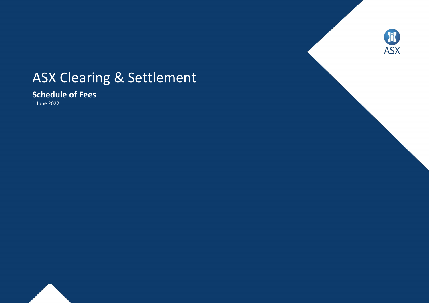# ASX Clearing & Settlement

**Schedule of Fees**

1 June 2022



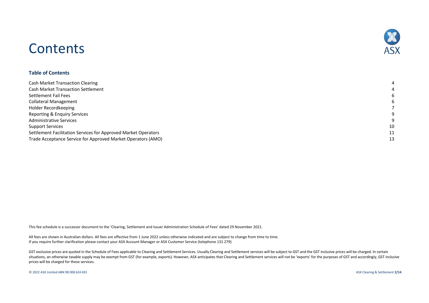## 冰 **ASX**

## **Contents**

#### **Table of Contents**

| <b>Cash Market Transaction Clearing</b>                        | 4  |
|----------------------------------------------------------------|----|
| <b>Cash Market Transaction Settlement</b>                      | 4  |
| Settlement Fail Fees                                           | 6  |
| <b>Collateral Management</b>                                   | 6  |
| Holder Recordkeeping                                           |    |
| Reporting & Enquiry Services                                   | 9  |
| <b>Administrative Services</b>                                 | 9  |
| <b>Support Services</b>                                        | 10 |
| Settlement Facilitation Services for Approved Market Operators | 11 |
| Trade Acceptance Service for Approved Market Operators (AMO)   | 13 |

This fee schedule is a successor document to the 'Clearing, Settlement and Issuer Administration Schedule of Fees' dated 29 November 2021.

All fees are shown in Australian dollars. All fees are effective from 1 June 2022 unless otherwise indicated and are subject to change from time to time. If you require further clarification please contact your ASX Account Manager or ASX Customer Service (telephone 131 279)

GST exclusive prices are quoted in the Schedule of Fees applicable to Clearing and Settlement Services. Usually Clearing and Settlement services will be subject to GST and the GST inclusive prices will be charged. In certa situations, an otherwise taxable supply may be exempt from GST (for example, exports). However, ASX anticipates that Clearing and Settlement services will not be 'exports' for the purposes of GST and accordingly, GST inclu prices will be charged for these services.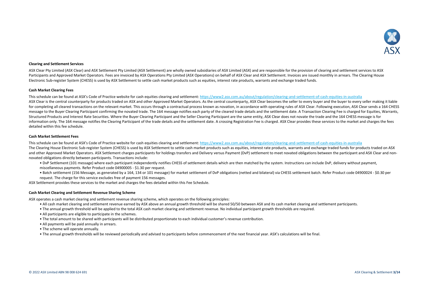

#### **Clearing and Settlement Services**

ASX Clear Pty Limited (ASX Clear) and ASX Settlement Pty Limited (ASX Settlement) are wholly owned subsidiaries of ASX Limited (ASX) and are responsible for the provision of clearing and settlement services to ASX Participants and Approved Market Operators. Fees are invoiced by ASX Operations Pty Limited (ASX Operations) on behalf of ASX Clear and ASX Settlement. Invoices are issued monthly in arrears. The Clearing House Electronic Sub-register System (CHESS) is used by ASX Settlement to settle cash market products such as equities, interest rate products, warrants and exchange traded funds.

#### **Cash Market Clearing Fees**

This schedule can be found at ASX's Code of Practice website for cash equities clearing and settlement[: https://www2.asx.com.au/about/regulation/clearing-and-settlement-of-cash-equities-in-australia](https://www2.asx.com.au/about/regulation/clearing-and-settlement-of-cash-equities-in-australia)

ASX Clear is the central counterparty for products traded on ASX and other Approved Market Operators. As the central counterparty, ASX Clear becomes the seller to every buyer and the buyer to every seller making it liable for completing all cleared transactions on the relevant market. This occurs through a contractual process known as novation, in accordance with operating rules of ASX Clear. Following execution, ASX Clear sends a 164 CHESS message to the Buyer Clearing Participant confirming the novated trade. The 164 message notifies each party of the cleared trade details and the settlement date. A Transaction Clearing Fee is charged for Equities, Warrants, Structured Products and Interest Rate Securities. Where the Buyer Clearing Participant and the Seller Clearing Participant are the same entity, ASX Clear does not novate the trade and the 164 CHESS message is for information only. The 164 message notifies the Clearing Participant of the trade details and the settlement date. A crossing Registration Fee is charged. ASX Clear provides these services to the market and charges the fees detailed within this fee schedule.

#### **Cash Market Settlement Fees**

This schedule can be found at ASX's Code of Practice website for cash equities clearing and settlement[: https://www2.asx.com.au/about/regulation/clearing-and-settlement-of-cash-equities-in-australia](https://www2.asx.com.au/about/regulation/clearing-and-settlement-of-cash-equities-in-australia)

The Clearing House Electronic Sub-register System (CHESS) is used by ASX Settlement to settle cash market products such as equities, interest rate products, warrants and exchange traded funds for products traded on ASX and other Approved Market Operators. ASX Settlement charges participants for holdings transfers and Delivery versus Payment (DvP) settlement to meet novated obligations between the participant and ASX Clear and nonnovated obligations directly between participants. Transactions include:

- DvP Settlement (101 message) where each participant independently notifies CHESS of settlement details which are then matched by the system. Instructions can include DvP, delivery without payment, miscellaneous payments. Refer Product code 04900005 - \$1.30 per request.
- Batch settlement (156 Message, as generated by a 164, 134 or 101 message) for market settlement of DvP obligations (netted and bilateral) via CHESS settlement batch. Refer Product code 04900024 \$0.30 per request. The charge for this service excludes free of payment 156 messages.

ASX Settlement provides these services to the market and charges the fees detailed within this Fee Schedule.

#### **Cash Market Clearing and Settlement Revenue Sharing Scheme**

ASX operates a cash market clearing and settlement revenue sharing scheme, which operates on the following principles:

- All cash market clearing and settlement revenue earned by ASX above an annual growth threshold will be shared 50/50 between ASX and its cash market clearing and settlement participants.
- The annual growth threshold will be applied to the total ASX cash market clearing and settlement revenue. No individual participant growth thresholds are required.
- All participants are eligible to participate in the schemes.
- The total amount to be shared with participants will be distributed proportionate to each individual customer's revenue contribution.
- All payments will be paid annually in arrears.
- The scheme will operate annually.
- The annual growth thresholds will be reviewed periodically and advised to participants before commencement of the next financial year. ASX's calculations will be final.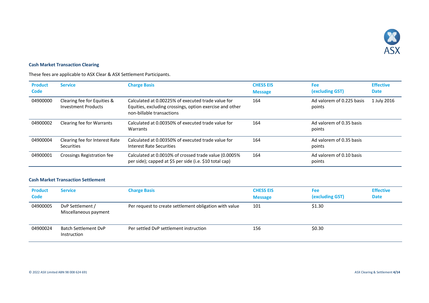

### <span id="page-3-0"></span>**Cash Market Transaction Clearing**

These fees are applicable to ASX Clear & ASX Settlement Participants.

| <b>Product</b><br>Code | <b>Service</b>                                            | <b>Charge Basis</b>                                                                                                                         | <b>CHESS EIS</b><br><b>Message</b> | Fee<br>(excluding GST)              | <b>Effective</b><br><b>Date</b> |
|------------------------|-----------------------------------------------------------|---------------------------------------------------------------------------------------------------------------------------------------------|------------------------------------|-------------------------------------|---------------------------------|
| 04900000               | Clearing fee for Equities &<br><b>Investment Products</b> | Calculated at 0.00225% of executed trade value for<br>Equities, excluding crossings, option exercise and other<br>non-billable transactions | 164                                | Ad valorem of 0.225 basis<br>points | 1 July 2016                     |
| 04900002               | Clearing fee for Warrants                                 | Calculated at 0.00350% of executed trade value for<br>Warrants                                                                              | 164                                | Ad valorem of 0.35 basis<br>points  |                                 |
| 04900004               | Clearing fee for Interest Rate<br><b>Securities</b>       | Calculated at 0.00350% of executed trade value for<br>Interest Rate Securities                                                              | 164                                | Ad valorem of 0.35 basis<br>points  |                                 |
| 04900001               | Crossings Registration fee                                | Calculated at 0.0010% of crossed trade value (0.0005%<br>per side); capped at \$5 per side (i.e. \$10 total cap)                            | 164                                | Ad valorem of 0.10 basis<br>points  |                                 |

#### <span id="page-3-1"></span>**Cash Market Transaction Settlement**

| <b>Product</b><br><b>Code</b> | <b>Service</b>                             | <b>Charge Basis</b>                                    | <b>CHESS EIS</b><br><b>Message</b> | <b>Fee</b><br>(excluding GST) | <b>Effective</b><br><b>Date</b> |
|-------------------------------|--------------------------------------------|--------------------------------------------------------|------------------------------------|-------------------------------|---------------------------------|
| 04900005                      | DvP Settlement /<br>Miscellaneous payment  | Per request to create settlement obligation with value | 101                                | \$1.30                        |                                 |
| 04900024                      | <b>Batch Settlement DvP</b><br>Instruction | Per settled DvP settlement instruction                 | 156                                | \$0.30                        |                                 |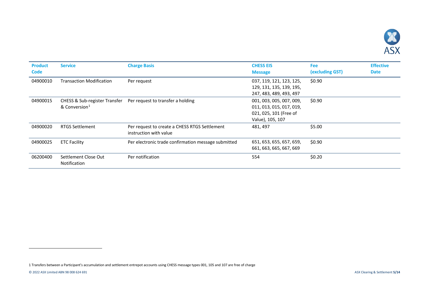<span id="page-4-0"></span>

| <b>Product</b><br><b>Code</b> | <b>Service</b>                       | <b>Charge Basis</b>                                                     | <b>CHESS EIS</b><br><b>Message</b>                                                                 | <b>Fee</b><br>(excluding GST) | <b>Effective</b><br><b>Date</b> |
|-------------------------------|--------------------------------------|-------------------------------------------------------------------------|----------------------------------------------------------------------------------------------------|-------------------------------|---------------------------------|
| 04900010                      | <b>Transaction Modification</b>      | Per request                                                             | 037, 119, 121, 123, 125,<br>129, 131, 135, 139, 195,<br>247, 483, 489, 493, 497                    | \$0.90                        |                                 |
| 04900015                      | & Conversion <sup>1</sup>            | CHESS & Sub-register Transfer Per request to transfer a holding         | 001, 003, 005, 007, 009,<br>011, 013, 015, 017, 019,<br>021, 025, 101 (Free of<br>Value), 105, 107 | \$0.90                        |                                 |
| 04900020                      | <b>RTGS Settlement</b>               | Per request to create a CHESS RTGS Settlement<br>instruction with value | 481, 497                                                                                           | \$5.00                        |                                 |
| 04900025                      | <b>ETC Facility</b>                  | Per electronic trade confirmation message submitted                     | 651, 653, 655, 657, 659,<br>661, 663, 665, 667, 669                                                | \$0.90                        |                                 |
| 06200400                      | Settlement Close Out<br>Notification | Per notification                                                        | 554                                                                                                | \$0.20                        |                                 |

l

<sup>1</sup> Transfers between a Participant's accumulation and settlement entrepot accounts using CHESS message types 001, 105 and 107 are free of charge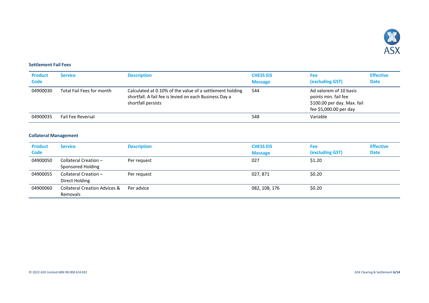

#### <span id="page-5-0"></span>**Settlement Fail Fees**

| <b>Product</b><br>Code | <b>Service</b>            | <b>Description</b>                                                                                                                       | <b>CHESS EIS</b><br><b>Message</b> | Fee<br>(excluding GST)                                                                                  | <b>Effective</b><br><b>Date</b> |
|------------------------|---------------------------|------------------------------------------------------------------------------------------------------------------------------------------|------------------------------------|---------------------------------------------------------------------------------------------------------|---------------------------------|
| 04900030               | Total Fail Fees for month | Calculated at 0.10% of the value of a settlement holding<br>shortfall. A fail fee is levied on each Business Day a<br>shortfall persists | 544                                | Ad valorem of 10 basis<br>points min. fail fee<br>\$100.00 per day. Max. fail<br>fee \$5,000.00 per day |                                 |
| 04900035               | <b>Fail Fee Reversal</b>  |                                                                                                                                          | 548                                | Variable                                                                                                |                                 |

### <span id="page-5-1"></span>**Collateral Management**

| <b>Product</b><br><b>Code</b> | <b>Service</b>                                       | <b>Description</b> | <b>CHESS EIS</b><br><b>Message</b> | <b>Fee</b><br>(excluding GST) | <b>Effective</b><br><b>Date</b> |
|-------------------------------|------------------------------------------------------|--------------------|------------------------------------|-------------------------------|---------------------------------|
| 04900050                      | Collateral Creation -<br>Sponsored Holding           | Per request        | 027                                | \$1.20                        |                                 |
| 04900055                      | Collateral Creation -<br>Direct Holding              | Per request        | 027, 871                           | \$0.20                        |                                 |
| 04900060                      | <b>Collateral Creation Advices &amp;</b><br>Removals | Per advice         | 082, 108, 176                      | \$0.20                        |                                 |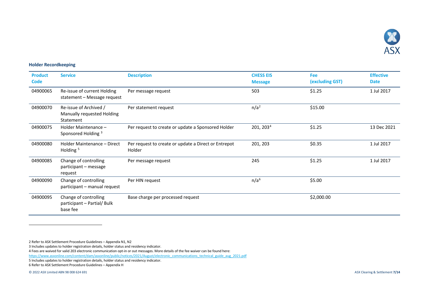<span id="page-6-5"></span><span id="page-6-4"></span><span id="page-6-3"></span><span id="page-6-2"></span><span id="page-6-1"></span>

#### <span id="page-6-0"></span>**Holder Recordkeeping**

| <b>Product</b><br><b>Code</b> | <b>Service</b>                                                    | <b>Description</b>                                             | <b>CHESS EIS</b><br><b>Message</b> | Fee<br>(excluding GST) | <b>Effective</b><br><b>Date</b> |
|-------------------------------|-------------------------------------------------------------------|----------------------------------------------------------------|------------------------------------|------------------------|---------------------------------|
| 04900065                      | Re-issue of current Holding<br>statement - Message request        | Per message request                                            | 503                                | \$1.25                 | 1 Jul 2017                      |
| 04900070                      | Re-issue of Archived /<br>Manually requested Holding<br>Statement | Per statement request                                          | n/a <sup>2</sup>                   | \$15.00                |                                 |
| 04900075                      | Holder Maintenance -<br>Sponsored Holding <sup>3</sup>            | Per request to create or update a Sponsored Holder             | 201, 203 <sup>4</sup>              | \$1.25                 | 13 Dec 2021                     |
| 04900080                      | Holder Maintenance - Direct<br>Holding <sup>5</sup>               | Per request to create or update a Direct or Entrepot<br>Holder | 201, 203                           | \$0.35                 | 1 Jul 2017                      |
| 04900085                      | Change of controlling<br>participant - message<br>request         | Per message request                                            | 245                                | \$1.25                 | 1 Jul 2017                      |
| 04900090                      | Change of controlling<br>participant - manual request             | Per HIN request                                                | n/a <sup>6</sup>                   | \$5.00                 |                                 |
| 04900095                      | Change of controlling<br>participant - Partial/ Bulk<br>base fee  | Base charge per processed request                              |                                    | \$2,000.00             |                                 |

2 Refer to ASX Settlement Procedure Guidelines – Appendix N1, N2

3 Includes updates to holder registration details, holder status and residency indicator.

4 Fees are waived for valid 203 electronic communication opt-in or out messages. More details of the fee waiver can be found here:

[https://www.asxonline.com/content/dam/asxonline/public/notices/2021/August/electronic\\_communications\\_technical\\_guide\\_aug\\_2021.pdf](https://www.asxonline.com/content/dam/asxonline/public/notices/2021/August/electronic_communications_technical_guide_aug_2021.pdf)

5 Includes updates to holder registration details, holder status and residency indicator.

6 Refer to ASX Settlement Procedure Guidelines – Appendix H

© 2022 ASX Limited ABN 98 008 624 691 ASX Clearing & Settlement **7/14**

l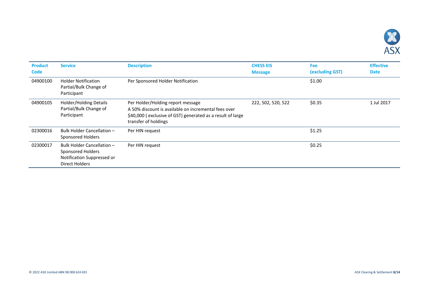

| <b>Product</b><br><b>Code</b> | <b>Service</b>                                                                                         | <b>Description</b>                                                                                                                                                              | <b>CHESS EIS</b><br><b>Message</b> | <b>Fee</b><br>(excluding GST) | <b>Effective</b><br><b>Date</b> |
|-------------------------------|--------------------------------------------------------------------------------------------------------|---------------------------------------------------------------------------------------------------------------------------------------------------------------------------------|------------------------------------|-------------------------------|---------------------------------|
| 04900100                      | <b>Holder Notification</b><br>Partial/Bulk Change of<br>Participant                                    | Per Sponsored Holder Notification                                                                                                                                               |                                    | \$1.00                        |                                 |
| 04900105                      | <b>Holder/Holding Details</b><br>Partial/Bulk Change of<br>Participant                                 | Per Holder/Holding report message<br>A 50% discount is available on incremental fees over<br>\$40,000 (exclusive of GST) generated as a result of large<br>transfer of holdings | 222, 502, 520, 522                 | \$0.35                        | 1 Jul 2017                      |
| 02300016                      | Bulk Holder Cancellation -<br>Sponsored Holders                                                        | Per HIN request                                                                                                                                                                 |                                    | \$1.25                        |                                 |
| 02300017                      | Bulk Holder Cancellation -<br>Sponsored Holders<br>Notification Suppressed or<br><b>Direct Holders</b> | Per HIN request                                                                                                                                                                 |                                    | \$0.25                        |                                 |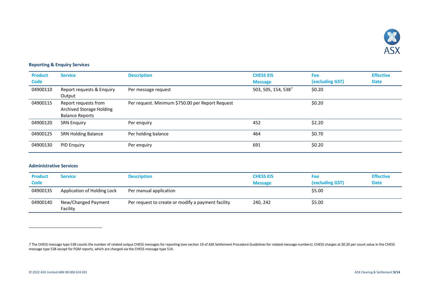<span id="page-8-2"></span>

## <span id="page-8-0"></span>**Reporting & Enquiry Services**

| <b>Product</b><br><b>Code</b> | <b>Service</b>                                                                    | <b>Description</b>                               | <b>CHESS EIS</b><br><b>Message</b> | <b>Fee</b><br>(excluding GST) | <b>Effective</b><br><b>Date</b> |
|-------------------------------|-----------------------------------------------------------------------------------|--------------------------------------------------|------------------------------------|-------------------------------|---------------------------------|
| 04900110                      | Report requests & Enquiry<br>Output                                               | Per message request                              | 503, 505, 154, 5387                | \$0.20                        |                                 |
| 04900115                      | Report requests from<br><b>Archived Storage Holding</b><br><b>Balance Reports</b> | Per request. Minimum \$750.00 per Report Request |                                    | \$0.20                        |                                 |
| 04900120                      | <b>SRN Enguiry</b>                                                                | Per enquiry                                      | 452                                | \$2.20                        |                                 |
| 04900125                      | <b>SRN Holding Balance</b>                                                        | Per holding balance                              | 464                                | \$0.70                        |                                 |
| 04900130                      | <b>PID Enguiry</b>                                                                | Per enquiry                                      | 691                                | \$0.20                        |                                 |

#### <span id="page-8-1"></span>**Administrative Services**

| <b>Product</b><br>Code | Service                         | <b>Description</b>                                 | <b>CHESS EIS</b><br><b>Message</b> | Fee<br>(excluding GST) | <b>Effective</b><br><b>Date</b> |
|------------------------|---------------------------------|----------------------------------------------------|------------------------------------|------------------------|---------------------------------|
| 04900135               | Application of Holding Lock     | Per manual application                             |                                    | \$5.00                 |                                 |
| 04900140               | New/Changed Payment<br>Facility | Per request to create or modify a payment facility | 240, 242                           | \$5.00                 |                                 |

j

<sup>7</sup> The CHESS message type 538 counts the number of related output CHESS messages for reporting (see section 19 of ASX Settlement Procedure Guidelines for related message numbers). CHESS charges at \$0.20 per count value in t message type 538 except for FGM reports, which are charged via the CHESS message type 514.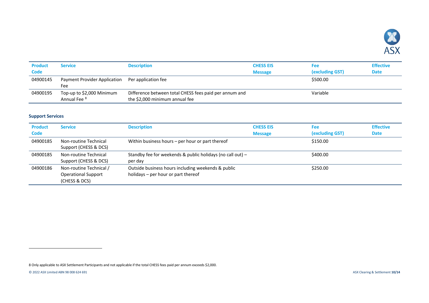<span id="page-9-1"></span>

| <b>Product</b><br><b>Code</b> | <b>Service</b>                                       | <b>Description</b>                                                                       | <b>CHESS EIS</b><br><b>Message</b> | <b>Fee</b><br>(excluding GST) | <b>Effective</b><br><b>Date</b> |
|-------------------------------|------------------------------------------------------|------------------------------------------------------------------------------------------|------------------------------------|-------------------------------|---------------------------------|
| 04900145                      | Payment Provider Application<br>Fee                  | Per application fee                                                                      |                                    | \$500.00                      |                                 |
| 04900195                      | Top-up to \$2,000 Minimum<br>Annual Fee <sup>8</sup> | Difference between total CHESS fees paid per annum and<br>the \$2,000 minimum annual fee |                                    | Variable                      |                                 |

### <span id="page-9-0"></span>**Support Services**

| <b>Product</b><br><b>Code</b> | <b>Service</b>                                                         | <b>Description</b>                                                                        | <b>CHESS EIS</b><br><b>Message</b> | <b>Fee</b><br>(excluding GST) | <b>Effective</b><br><b>Date</b> |
|-------------------------------|------------------------------------------------------------------------|-------------------------------------------------------------------------------------------|------------------------------------|-------------------------------|---------------------------------|
| 04900185                      | Non-routine Technical<br>Support (CHESS & DCS)                         | Within business hours – per hour or part thereof                                          |                                    | \$150.00                      |                                 |
| 04900185                      | Non-routine Technical<br>Support (CHESS & DCS)                         | Standby fee for weekends & public holidays (no call out) $-$<br>per day                   |                                    | \$400.00                      |                                 |
| 04900186                      | Non-routine Technical /<br><b>Operational Support</b><br>(CHESS & DCS) | Outside business hours including weekends & public<br>holidays – per hour or part thereof |                                    | \$250.00                      |                                 |

l

<sup>8</sup> Only applicable to ASX Settlement Participants and not applicable if the total CHESS fees paid per annum exceeds \$2,000.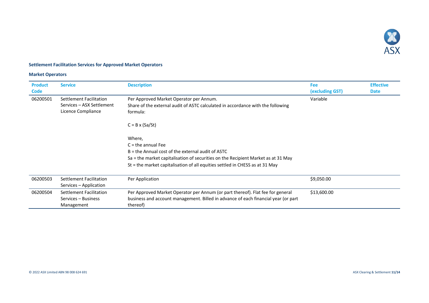

### <span id="page-10-0"></span>**Settlement Facilitation Services for Approved Market Operators**

### **Market Operators**

| <b>Product</b><br><b>Code</b> | <b>Service</b>                                                             | <b>Description</b>                                                                                                                                                                                                                                         | <b>Fee</b><br>(excluding GST) | <b>Effective</b><br><b>Date</b> |
|-------------------------------|----------------------------------------------------------------------------|------------------------------------------------------------------------------------------------------------------------------------------------------------------------------------------------------------------------------------------------------------|-------------------------------|---------------------------------|
| 06200501                      | Settlement Facilitation<br>Services - ASX Settlement<br>Licence Compliance | Per Approved Market Operator per Annum.<br>Share of the external audit of ASTC calculated in accordance with the following<br>formula:                                                                                                                     | Variable                      |                                 |
|                               |                                                                            | $C = B \times (Sa/St)$                                                                                                                                                                                                                                     |                               |                                 |
|                               |                                                                            | Where,<br>$C =$ the annual Fee<br>$B =$ the Annual cost of the external audit of ASTC<br>Sa = the market capitalisation of securities on the Recipient Market as at 31 May<br>St = the market capitalisation of all equities settled in CHESS as at 31 May |                               |                                 |
| 06200503                      | Settlement Facilitation<br>Services – Application                          | Per Application                                                                                                                                                                                                                                            | \$9,050.00                    |                                 |
| 06200504                      | Settlement Facilitation<br>Services – Business<br>Management               | Per Approved Market Operator per Annum (or part thereof). Flat fee for general<br>business and account management. Billed in advance of each financial year (or part<br>thereof)                                                                           | \$13,600.00                   |                                 |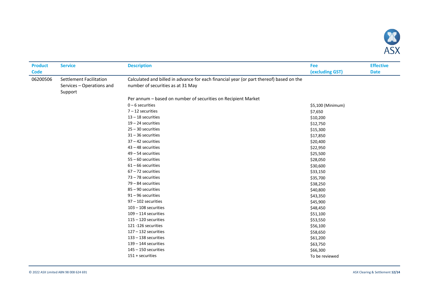

| <b>Product</b> | <b>Service</b>                                                         | <b>Description</b>                                                                                                           | <b>Fee</b>        | <b>Effective</b> |
|----------------|------------------------------------------------------------------------|------------------------------------------------------------------------------------------------------------------------------|-------------------|------------------|
| <b>Code</b>    |                                                                        |                                                                                                                              | (excluding GST)   | <b>Date</b>      |
| 06200506       | <b>Settlement Facilitation</b><br>Services - Operations and<br>Support | Calculated and billed in advance for each financial year (or part thereof) based on the<br>number of securities as at 31 May |                   |                  |
|                |                                                                        | Per annum - based on number of securities on Recipient Market                                                                |                   |                  |
|                |                                                                        | $0 - 6$ securities                                                                                                           | \$5,100 (Minimum) |                  |
|                |                                                                        | $7 - 12$ securities                                                                                                          | \$7,650           |                  |
|                |                                                                        | $13 - 18$ securities                                                                                                         | \$10,200          |                  |
|                |                                                                        | $19 - 24$ securities                                                                                                         | \$12,750          |                  |
|                |                                                                        | $25 - 30$ securities                                                                                                         | \$15,300          |                  |
|                |                                                                        | $31 - 36$ securities                                                                                                         | \$17,850          |                  |
|                |                                                                        | $37 - 42$ securities                                                                                                         | \$20,400          |                  |
|                |                                                                        | 43 - 48 securities                                                                                                           | \$22,950          |                  |
|                |                                                                        | $49 - 54$ securities                                                                                                         | \$25,500          |                  |
|                |                                                                        | $55 - 60$ securities                                                                                                         | \$28,050          |                  |
|                |                                                                        | $61 - 66$ securities                                                                                                         | \$30,600          |                  |
|                |                                                                        | $67 - 72$ securities                                                                                                         | \$33,150          |                  |
|                |                                                                        | 73 - 78 securities                                                                                                           | \$35,700          |                  |
|                |                                                                        | $79 - 84$ securities                                                                                                         | \$38,250          |                  |
|                |                                                                        | 85 - 90 securities                                                                                                           | \$40,800          |                  |
|                |                                                                        | $91 - 96$ securities                                                                                                         | \$43,350          |                  |
|                |                                                                        | 97 - 102 securities                                                                                                          | \$45,900          |                  |
|                |                                                                        | $103 - 108$ securities                                                                                                       | \$48,450          |                  |
|                |                                                                        | $109 - 114$ securities                                                                                                       | \$51,100          |                  |
|                |                                                                        | $115 - 120$ securities                                                                                                       | \$53,550          |                  |
|                |                                                                        | 121-126 securities                                                                                                           | \$56,100          |                  |
|                |                                                                        | $127 - 132$ securities                                                                                                       | \$58,650          |                  |
|                |                                                                        | $133 - 138$ securities                                                                                                       | \$61,200          |                  |
|                |                                                                        | $139 - 144$ securities                                                                                                       | \$63,750          |                  |
|                |                                                                        | $145 - 150$ securities                                                                                                       | \$66,300          |                  |
|                |                                                                        | 151 + securities                                                                                                             | To be reviewed    |                  |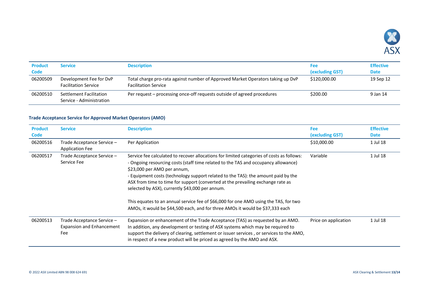

| <b>Product</b><br><b>Code</b> | Service                                                | <b>Description</b>                                                                                             | <b>Fee</b><br>(excluding GST) | <b>Effective</b><br><b>Date</b> |
|-------------------------------|--------------------------------------------------------|----------------------------------------------------------------------------------------------------------------|-------------------------------|---------------------------------|
| 06200509                      | Development Fee for DvP<br><b>Facilitation Service</b> | Total charge pro-rata against number of Approved Market Operators taking up DvP<br><b>Facilitation Service</b> | \$120,000.00                  | 19 Sep 12                       |
| 06200510                      | Settlement Facilitation<br>Service - Administration    | Per request – processing once-off requests outside of agreed procedures                                        | \$200.00                      | 9 Jan 14                        |

## <span id="page-12-0"></span>**Trade Acceptance Service for Approved Market Operators (AMO)**

| <b>Product</b><br><b>Code</b> | <b>Service</b>                                                        | <b>Description</b>                                                                                                                                                                                                                                                                                                                                                                                                                                                                                                                                                                                                 | <b>Fee</b><br>(excluding GST) | <b>Effective</b><br><b>Date</b> |
|-------------------------------|-----------------------------------------------------------------------|--------------------------------------------------------------------------------------------------------------------------------------------------------------------------------------------------------------------------------------------------------------------------------------------------------------------------------------------------------------------------------------------------------------------------------------------------------------------------------------------------------------------------------------------------------------------------------------------------------------------|-------------------------------|---------------------------------|
| 06200516                      | Trade Acceptance Service -<br><b>Application Fee</b>                  | Per Application                                                                                                                                                                                                                                                                                                                                                                                                                                                                                                                                                                                                    | \$10,000.00                   | 1 Jul 18                        |
| 06200517                      | Trade Acceptance Service –<br>Service Fee                             | Service fee calculated to recover allocations for limited categories of costs as follows:<br>- Ongoing resourcing costs (staff time related to the TAS and occupancy allowance)<br>\$23,000 per AMO per annum,<br>- Equipment costs (technology support related to the TAS): the amount paid by the<br>ASX from time to time for support (converted at the prevailing exchange rate as<br>selected by ASX), currently \$43,000 per annum.<br>This equates to an annual service fee of \$66,000 for one AMO using the TAS, for two<br>AMOs, it would be \$44,500 each, and for three AMOs it would be \$37,333 each | Variable                      | 1 Jul 18                        |
| 06200513                      | Trade Acceptance Service –<br><b>Expansion and Enhancement</b><br>Fee | Expansion or enhancement of the Trade Acceptance (TAS) as requested by an AMO.<br>In addition, any development or testing of ASX systems which may be required to<br>support the delivery of clearing, settlement or issuer services, or services to the AMO,<br>in respect of a new product will be priced as agreed by the AMO and ASX.                                                                                                                                                                                                                                                                          | Price on application          | 1 Jul 18                        |